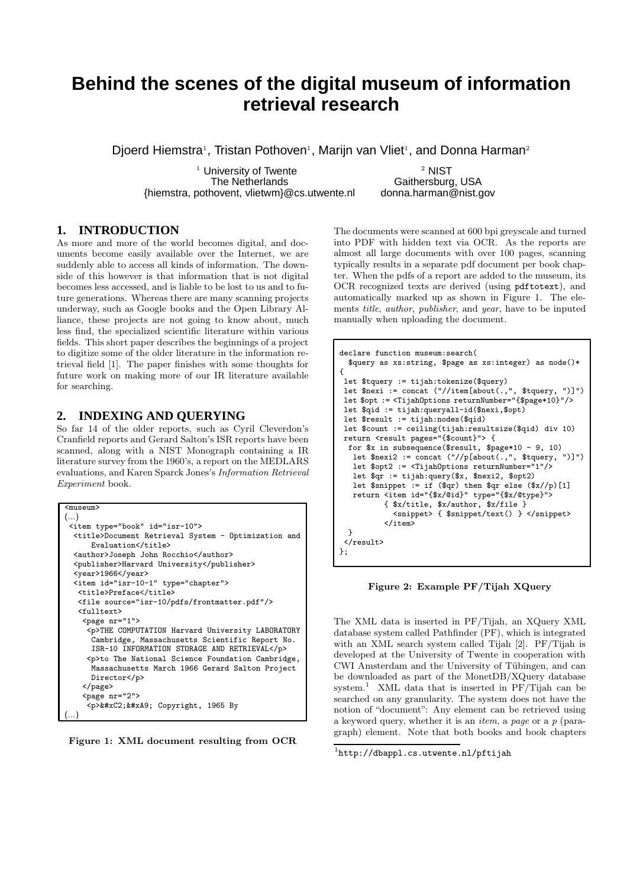# **Behind the scenes of the digital museum of information retrieval research**

Djoerd Hiemstra<sup>1</sup>, Tristan Pothoven<sup>1</sup>, Marijn van Vliet<sup>1</sup>, and Donna Harman<sup>2</sup>

 $1$  University of Twente 2 2 NIST The Netherlands<br>novent, vlietwm}@cs.utwente.nl donna.harman@nist.gov {hiemstra, pothovent, vlietwm}@cs.utwente.nl

## **1. INTRODUCTION**

As more and more of the world becomes digital, and documents become easily available over the Internet, we are suddenly able to access all kinds of information. The downside of this however is that information that is not digital becomes less accessed, and is liable to be lost to us and to future generations. Whereas there are many scanning projects underway, such as Google books and the Open Library Alliance, these projects are not going to know about, much less find, the specialized scientific literature within various fields. This short paper describes the beginnings of a project to digitize some of the older literature in the information retrieval field [1]. The paper finishes with some thoughts for future work on making more of our IR literature available for searching.

## **2. INDEXING AND QUERYING**

So far 14 of the older reports, such as Cyril Cleverdon's Cranfield reports and Gerard Salton's ISR reports have been scanned, along with a NIST Monograph containing a IR literature survey from the 1960's, a report on the MEDLARS evaluations, and Karen Sparck Jones's Information Retrieval Experiment book.

```
<museum>
(...)
 <item type="book" id="isr-10">
  <title>Document Retrieval System - Optimization and
      Evaluation</title>
  <author>Joseph John Rocchio</author>
  <publisher>Harvard University</publisher>
  \langle \text{year}>1966 \langle \text{year}><item id="isr-10-1" type="chapter">
   <title>Preface</title>
   <file source="isr-10/pdfs/frontmatter.pdf"/>
   <fulltext>
    <page nr="1">
     <p>THE COMPUTATION Harvard University LABORATORY
      Cambridge, Massachusetts Scientific Report No.
      ISR-10 INFORMATION STORAGE AND RETRIEVAL</p>
     <p>to The National Science Foundation Cambridge,
      Massachusetts March 1966 Gerard Salton Project
      Director</p>
    </page>
    <page nr="2">
     <p>&#xC2;&#xA9; Copyright, 1965 By
(...)
```


The documents were scanned at 600 bpi greyscale and turned into PDF with hidden text via OCR. As the reports are almost all large documents with over 100 pages, scanning typically results in a separate pdf document per book chapter. When the pdfs of a report are added to the museum, its OCR recognized texts are derived (using pdftotext), and automatically marked up as shown in Figure 1. The elements title, author, publisher, and year, have to be inputed manually when uploading the document.

```
declare function museum:search(
  $query as xs:string, $page as xs:integer) as node()*
{
 let $tquery := tijah:tokenize($query)
let \frac{1}{2}nexi := concat ("//item[about(.,", $tquery, ")]")
let $opt := <TijahOptions returnNumber="{$page*10}"/>
let $qid := tijah:queryall-id($nexi,$opt)
 let $result := tijah:nodes($qid)
 let $count := ceiling(tijah:resultsize($qid) div 10)
return <result pages="{$count}"> {
  for $x in subsequence($result, $page*10 - 9, 10)
   let $nexi2 := concat ("//p[about(.,", $tquery, ")]")
   let $opt2 := <TijahOptions returnNumber="1"/>
   let $qr := tijah:query($x, $nexi2, $opt2)
   let \sin^2 t := \text{if } (\text{sgr}) \text{ then } \text{sgr else } (\text{fsx}/p)[1]return <item id="{$x/@id}" type="{$x/@type}">
           { $x/title, $x/author, $x/file }
             <snippet> { $snippet/text() } </snippet>
           </item>
 }
 \langle/result>
};
```
Figure 2: Example PF/Tijah XQuery

The XML data is inserted in PF/Tijah, an XQuery XML database system called Pathfinder (PF), which is integrated with an XML search system called Tijah [2]. PF/Tijah is developed at the University of Twente in cooperation with CWI Amsterdam and the University of Tübingen, and can be downloaded as part of the MonetDB/XQuery database system.<sup>1</sup> XML data that is inserted in  $PF/T$ ijah can be searched on any granularity. The system does not have the notion of "document": Any element can be retrieved using a keyword query, whether it is an *item*, a page or a  $p$  (paragraph) element. Note that both books and book chapters

 $\frac{1}{1}$ http://dbappl.cs.utwente.nl/pftijah